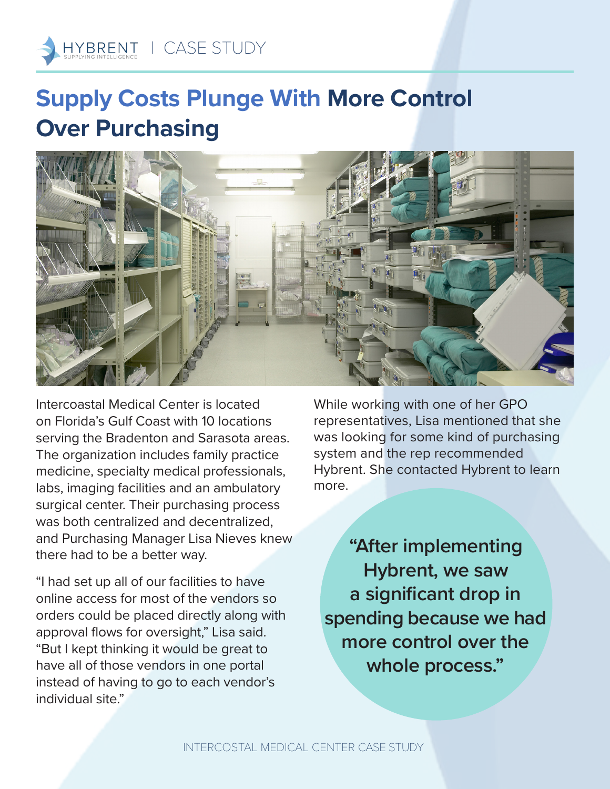

## **Supply Costs Plunge With More Control Over Purchasing**



Intercoastal Medical Center is located on Florida's Gulf Coast with 10 locations serving the Bradenton and Sarasota areas. The organization includes family practice medicine, specialty medical professionals, labs, imaging facilities and an ambulatory surgical center. Their purchasing process was both centralized and decentralized, and Purchasing Manager Lisa Nieves knew there had to be a better way.

"I had set up all of our facilities to have online access for most of the vendors so orders could be placed directly along with approval flows for oversight," Lisa said. "But I kept thinking it would be great to have all of those vendors in one portal instead of having to go to each vendor's individual site."

While working with one of her GPO representatives, Lisa mentioned that she was looking for some kind of purchasing system and the rep recommended Hybrent. She contacted Hybrent to learn more.

**"After implementing Hybrent, we saw a significant drop in spending because we had more control over the whole process."**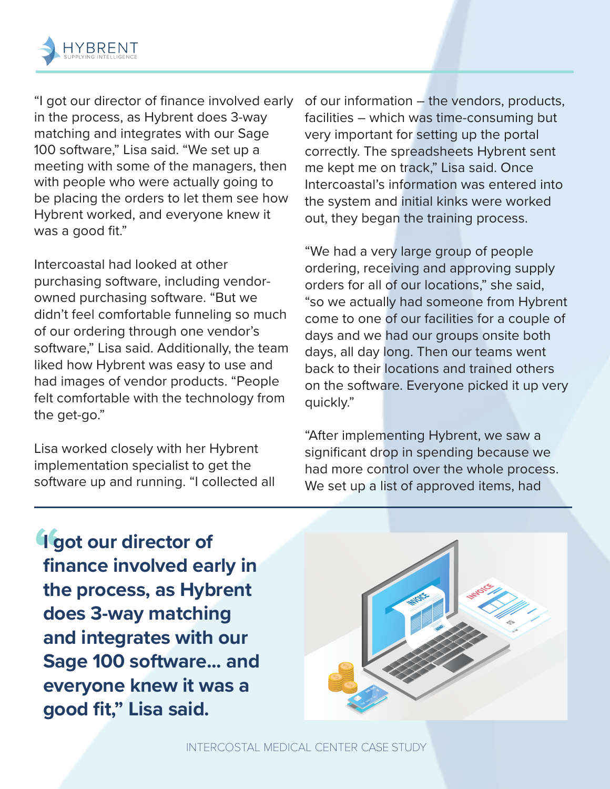

"I got our director of finance involved early in the process, as Hybrent does 3-way matching and integrates with our Sage 100 software," Lisa said. "We set up a meeting with some of the managers, then with people who were actually going to be placing the orders to let them see how Hybrent worked, and everyone knew it was a good fit."

Intercoastal had looked at other purchasing software, including vendorowned purchasing software. "But we didn't feel comfortable funneling so much of our ordering through one vendor's software," Lisa said. Additionally, the team liked how Hybrent was easy to use and had images of vendor products. "People felt comfortable with the technology from the get-go."

Lisa worked closely with her Hybrent implementation specialist to get the software up and running. "I collected all of our information – the vendors, products, facilities – which was time-consuming but very important for setting up the portal correctly. The spreadsheets Hybrent sent me kept me on track," Lisa said. Once Intercoastal's information was entered into the system and initial kinks were worked out, they began the training process.

"We had a very large group of people ordering, receiving and approving supply orders for all of our locations," she said, "so we actually had someone from Hybrent come to one of our facilities for a couple of days and we had our groups onsite both days, all day long. Then our teams went back to their locations and trained others on the software. Everyone picked it up very quickly."

"After implementing Hybrent, we saw a significant drop in spending because we had more control over the whole process. We set up a list of approved items, had

**" I got our director of finance involved early in the process, as Hybrent does 3-way matching and integrates with our Sage 100 software... and everyone knew it was a good fit," Lisa said.**